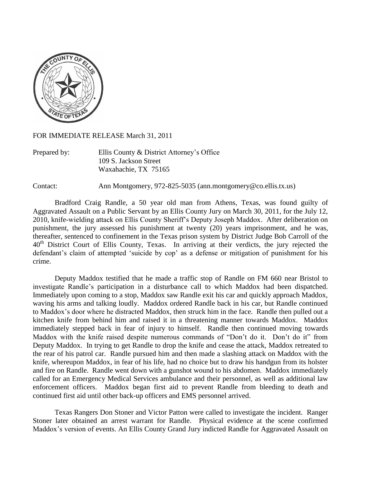

FOR IMMEDIATE RELEASE March 31, 2011

Prepared by: Ellis County & District Attorney"s Office 109 S. Jackson Street Waxahachie, TX 75165

Contact: Ann Montgomery, 972-825-5035 (ann.montgomery@co.ellis.tx.us)

Bradford Craig Randle, a 50 year old man from Athens, Texas, was found guilty of Aggravated Assault on a Public Servant by an Ellis County Jury on March 30, 2011, for the July 12, 2010, knife-wielding attack on Ellis County Sheriff"s Deputy Joseph Maddox. After deliberation on punishment, the jury assessed his punishment at twenty (20) years imprisonment, and he was, thereafter, sentenced to confinement in the Texas prison system by District Judge Bob Carroll of the  $40<sup>th</sup>$  District Court of Ellis County, Texas. In arriving at their verdicts, the jury rejected the defendant's claim of attempted 'suicide by cop' as a defense or mitigation of punishment for his crime.

Deputy Maddox testified that he made a traffic stop of Randle on FM 660 near Bristol to investigate Randle"s participation in a disturbance call to which Maddox had been dispatched. Immediately upon coming to a stop, Maddox saw Randle exit his car and quickly approach Maddox, waving his arms and talking loudly. Maddox ordered Randle back in his car, but Randle continued to Maddox"s door where he distracted Maddox, then struck him in the face. Randle then pulled out a kitchen knife from behind him and raised it in a threatening manner towards Maddox. Maddox immediately stepped back in fear of injury to himself. Randle then continued moving towards Maddox with the knife raised despite numerous commands of "Don"t do it. Don"t do it" from Deputy Maddox. In trying to get Randle to drop the knife and cease the attack, Maddox retreated to the rear of his patrol car. Randle pursued him and then made a slashing attack on Maddox with the knife, whereupon Maddox, in fear of his life, had no choice but to draw his handgun from its holster and fire on Randle. Randle went down with a gunshot wound to his abdomen. Maddox immediately called for an Emergency Medical Services ambulance and their personnel, as well as additional law enforcement officers. Maddox began first aid to prevent Randle from bleeding to death and continued first aid until other back-up officers and EMS personnel arrived.

Texas Rangers Don Stoner and Victor Patton were called to investigate the incident. Ranger Stoner later obtained an arrest warrant for Randle. Physical evidence at the scene confirmed Maddox"s version of events. An Ellis County Grand Jury indicted Randle for Aggravated Assault on